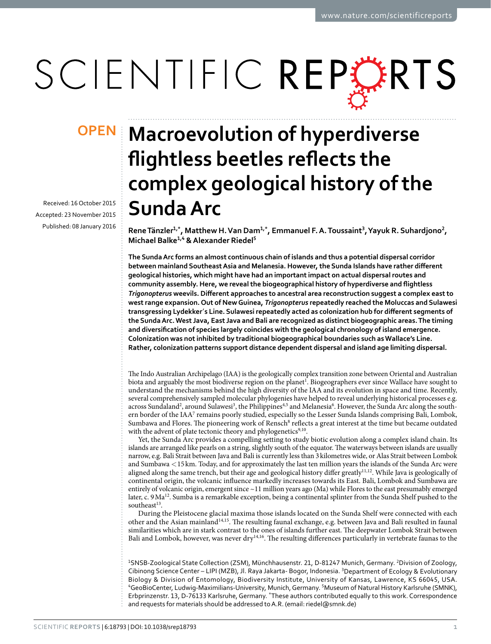# SCIENTIFIC REPORTS

Received: 16 October 2015 accepted: 23 November 2015 Published: 08 January 2016

## **Macroevolution of hyperdiverse OPENflightless beetles reflects the complex geological history of the Sunda Arc**

**ReneTänzler<sup>1</sup>,\*, Matthew H.Van Dam<sup>1</sup>,\*, Emmanuel F.A.Toussaint<sup>3</sup>, Yayuk R. Suhardjono<sup>2</sup>, Michael Balke<sup>1</sup>,<sup>4</sup> & Alexander Riedel<sup>5</sup>**

**The Sunda Arc forms an almost continuous chain of islands and thus a potential dispersal corridor between mainland Southeast Asia and Melanesia. However, the Sunda Islands have rather different geological histories, which might have had an important impact on actual dispersal routes and community assembly. Here, we reveal the biogeographical history of hyperdiverse and flightless**  *Trigonopterus* **weevils. Different approaches to ancestral area reconstruction suggest a complex east to west range expansion. Out of New Guinea,** *Trigonopterus* **repeatedly reached the Moluccas and Sulawesi transgressing Lydekker′s Line. Sulawesi repeatedly acted as colonization hub for different segments of the Sunda Arc. West Java, East Java and Bali are recognized as distinct biogeographic areas. The timing and diversification of species largely coincides with the geological chronology of island emergence. Colonization was not inhibited by traditional biogeographical boundaries such as Wallace's Line. Rather, colonization patterns support distance dependent dispersal and island age limiting dispersal.**

The Indo Australian Archipelago (IAA) is the geologically complex transition zone between Oriental and Australian biota and arguably the most biodiverse region on the planet<sup>[1](#page-9-0)</sup>. Biogeographers ever since Wallace have sought to understand the mechanisms behind the high diversity of the IAA and its evolution in space and time. Recently, several comprehensively sampled molecular phylogenies have helped to reveal underlying historical processes e.g. across Sundaland<sup>[2](#page-9-1)</sup>, around Sulawesi<sup>[3](#page-9-2)</sup>, the Philippines<sup>[4](#page-9-3),5</sup> and Melanesia<sup>[6](#page-9-5)</sup>. However, the Sunda Arc along the south-ern border of the IAA<sup>[7](#page-9-6)</sup> remains poorly studied, especially so the Lesser Sunda Islands comprising Bali, Lombok, Sumbawa and Flores. The pioneering work of Rensch<sup>8</sup> reflects a great interest at the time but became outdated with the advent of plate tectonic theory and phylogenetics<sup>[9](#page-9-8),[10](#page-9-9)</sup>.

Yet, the Sunda Arc provides a compelling setting to study biotic evolution along a complex island chain. Its islands are arranged like pearls on a string, slightly south of the equator. The waterways between islands are usually narrow, e.g. Bali Strait between Java and Bali is currently less than 3kilometres wide, or Alas Strait between Lombok and Sumbawa <15 km. Today, and for approximately the last ten million years the islands of the Sunda Arc were aligned along the same trench, but their age and geological history differ greatly<sup>[11](#page-9-10),[12](#page-9-11)</sup>. While Java is geologically of continental origin, the volcanic influence markedly increases towards its East. Bali, Lombok and Sumbawa are entirely of volcanic origin, emergent since ~11 million years ago (Ma) while Flores to the east presumably emerged later, c. 9 Ma<sup>[12](#page-9-11)</sup>. Sumba is a remarkable exception, being a continental splinter from the Sunda Shelf pushed to the southeast $13$ .

During the Pleistocene glacial maxima those islands located on the Sunda Shelf were connected with each other and the Asian mainland[14,](#page-9-13)[15.](#page-9-14) The resulting faunal exchange, e.g. between Java and Bali resulted in faunal similarities which are in stark contrast to the ones of islands further east. The deepwater Lombok Strait between Bali and Lombok, however, was never dry<sup>[14](#page-9-13),[16](#page-9-15)</sup>. The resulting differences particularly in vertebrate faunas to the

<sup>1</sup>SNSB-Zoological State Collection (ZSM), Münchhausenstr. 21, D-81247 Munich, Germany. <sup>2</sup>Division of Zoology, Cibinong Science Center - LIPI (MZB), Jl. Raya Jakarta- Bogor, Indonesia. <sup>3</sup>Department of Ecology & Evolutionary Biology & Division of Entomology, Biodiversity Institute, University of Kansas, Lawrence, KS 66045, USA. 4 GeoBioCenter, Ludwig-Maximilians-University, Munich, Germany. 5 Museum of Natural History Karlsruhe (SMNK), Erbprinzenstr. 13, D-76133 Karlsruhe, Germany. \*These authors contributed equally to this work. Correspondence and requests for materials should be addressed to A.R. (email: [riedel@smnk.de\)](mailto:riedel@smnk.de)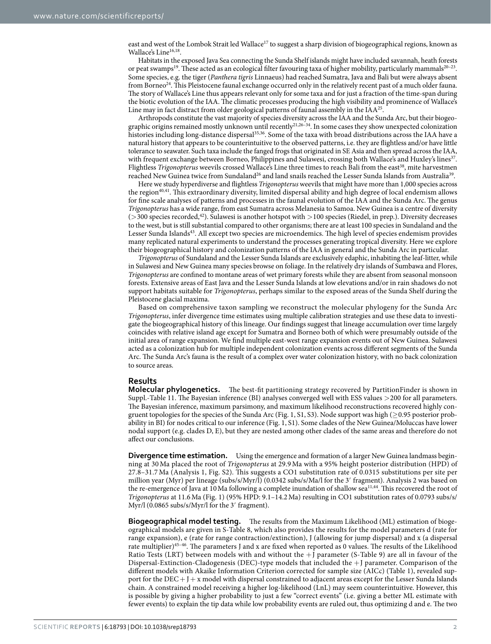east and west of the Lombok Strait led Wallace<sup>17</sup> to suggest a sharp division of biogeographical regions, known as Wallace's Line<sup>16[,18](#page-9-17)</sup>.

Habitats in the exposed Java Sea connecting the Sunda Shelf islands might have included savannah, heath forests or peat swamps<sup>[19](#page-9-18)</sup>. These acted as an ecological filter favouring taxa of higher mobility, particularly mammals<sup>20–23</sup>. Some species, e.g. the tiger (*Panthera tigris* Linnaeus) had reached Sumatra, Java and Bali but were always absent from Borneo<sup>[24](#page-9-20)</sup>. This Pleistocene faunal exchange occurred only in the relatively recent past of a much older fauna. The story of Wallace's Line thus appears relevant only for some taxa and for just a fraction of the time-span during the biotic evolution of the IAA. The climatic processes producing the high visibility and prominence of Wallace's Line may in fact distract from older geological patterns of faunal assembly in the IAA<sup>25</sup>.

Arthropods constitute the vast majority of species diversity across the IAA and the Sunda Arc, but their biogeo-graphic origins remained mostly unknown until recently<sup>21[,26–34](#page-9-23)</sup>. In some cases they show unexpected colonization histories including long-distance dispersal<sup>35[,36](#page-9-25)</sup>. Some of the taxa with broad distributions across the IAA have a natural history that appears to be counterintuitive to the observed patterns, i.e. they are flightless and/or have little tolerance to seawater. Such taxa include the fanged frogs that originated in SE Asia and then spread across the IAA, with frequent exchange between Borneo, Philippines and Sulawesi, crossing both Wallace's and Huxley's lines<sup>37</sup>. Flightless *Trigonopterus* weevils crossed Wallace's Line three times to reach Bali from the east<sup>38</sup>, mite harvestmen reached New Guinea twice from Sundaland<sup>26</sup> and land snails reached the Lesser Sunda Islands from Australia<sup>[39](#page-9-28)</sup>.

Here we study hyperdiverse and flightless *Trigonopterus* weevils that might have more than 1,000 species across the region<sup>[40,](#page-10-0)41</sup>. This extraordinary diversity, limited dispersal ability and high degree of local endemism allows for fine scale analyses of patterns and processes in the faunal evolution of the IAA and the Sunda Arc. The genus *Trigonopterus* has a wide range, from east Sumatra across Melanesia to Samoa. New Guinea is a centre of diversity  $(>300$  species recorded,<sup>42</sup>). Sulawesi is another hotspot with  $>100$  species (Riedel, in prep.). Diversity decreases to the west, but is still substantial compared to other organisms; there are at least 100 species in Sundaland and the Lesser Sunda Islands<sup>[43](#page-10-3)</sup>. All except two species are microendemics. The high level of species endemism provides many replicated natural experiments to understand the processes generating tropical diversity. Here we explore their biogeographical history and colonization patterns of the IAA in general and the Sunda Arc in particular.

*Trigonopterus* of Sundaland and the Lesser Sunda Islands are exclusively edaphic, inhabiting the leaf-litter, while in Sulawesi and New Guinea many species browse on foliage. In the relatively dry islands of Sumbawa and Flores, *Trigonopterus* are confined to montane areas of wet primary forests while they are absent from seasonal monsoon forests. Extensive areas of East Java and the Lesser Sunda Islands at low elevations and/or in rain shadows do not support habitats suitable for *Trigonopterus*, perhaps similar to the exposed areas of the Sunda Shelf during the Pleistocene glacial maxima.

Based on comprehensive taxon sampling we reconstruct the molecular phylogeny for the Sunda Arc *Trigonopterus*, infer divergence time estimates using multiple calibration strategies and use these data to investigate the biogeographical history of this lineage. Our findings suggest that lineage accumulation over time largely coincides with relative island age except for Sumatra and Borneo both of which were presumably outside of the initial area of range expansion. We find multiple east-west range expansion events out of New Guinea. Sulawesi acted as a colonization hub for multiple independent colonization events across different segments of the Sunda Arc. The Sunda Arc's fauna is the result of a complex over water colonization history, with no back colonization to source areas.

#### **Results**

**Molecular phylogenetics.** The best-fit partitioning strategy recovered by PartitionFinder is shown in Suppl.-Table 11. The Bayesian inference (BI) analyses converged well with ESS values >200 for all parameters. The Bayesian inference, maximum parsimony, and maximum likelihood reconstructions recovered highly con-gruent topologies for the species of the Sunda Arc ([Fig. 1](#page-3-0), S1, S3). Node support was high ( $\geq$ 0.95 posterior probability in BI) for nodes critical to our inference [\(Fig. 1,](#page-3-0) S1). Some clades of the New Guinea/Moluccas have lower nodal support (e.g. clades D, E), but they are nested among other clades of the same areas and therefore do not affect our conclusions.

**Divergence time estimation.** Using the emergence and formation of a larger New Guinea landmass beginning at 30 Ma placed the root of *Trigonopterus* at 29.9 Ma with a 95% height posterior distribution (HPD) of 27.8–31.7 Ma (Analysis 1, Fig. S2). This suggests a CO1 substitution rate of 0.0315 substitutions per site per million year (Myr) per lineage (subs/s/Myr/l) (0.0342 subs/s/Ma/l for the 3′ fragment). Analysis 2 was based on the re-emergence of Java at 10 Ma following a complete inundation of shallow sea<sup>[11,](#page-9-10)44</sup>. This recovered the root of *Trigonopterus* at 11.6Ma [\(Fig. 1](#page-3-0)) (95% HPD: 9.1–14.2Ma) resulting in CO1 substitution rates of 0.0793 subs/s/ Myr/l (0.0865 subs/s/Myr/l for the 3' fragment).

**Biogeographical model testing.** The results from the Maximum Likelihood (ML) estimation of biogeographical models are given in S-Table 8, which also provides the results for the model parameters d (rate for range expansion), e (rate for range contraction/extinction), J (allowing for jump dispersal) and x (a dispersal rate multiplier)<sup>[45–](#page-10-5)46</sup>. The parameters J and x are fixed when reported as 0 values. The results of the Likelihood Ratio Tests (LRT) between models with and without the +J parameter (S-Table 9) are all in favour of the Dispersal-Extinction-Cladogenesis (DEC)-type models that included the +J parameter. Comparison of the different models with Akaike Information Criterion corrected for sample size (AICc) ([Table 1](#page-3-1)), revealed support for the DEC+ J+ x model with dispersal constrained to adjacent areas except for the Lesser Sunda Islands chain. A constrained model receiving a higher log-likelihood (LnL) may seem counterintuitive. However, this is possible by giving a higher probability to just a few "correct events" (i.e. giving a better ML estimate with fewer events) to explain the tip data while low probability events are ruled out, thus optimizing d and e. The two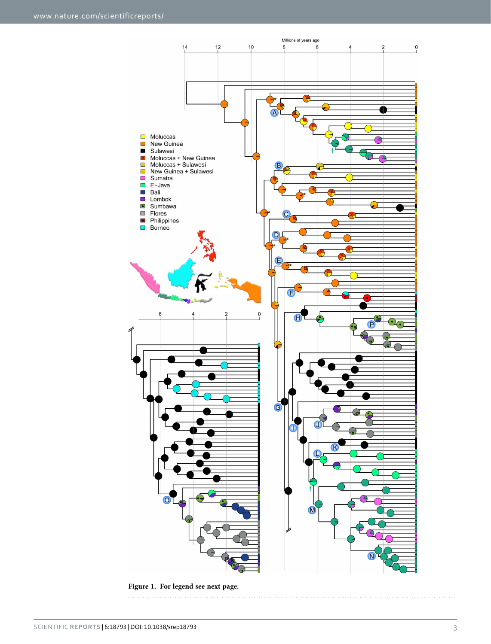

**Figure 1. For legend see next page.**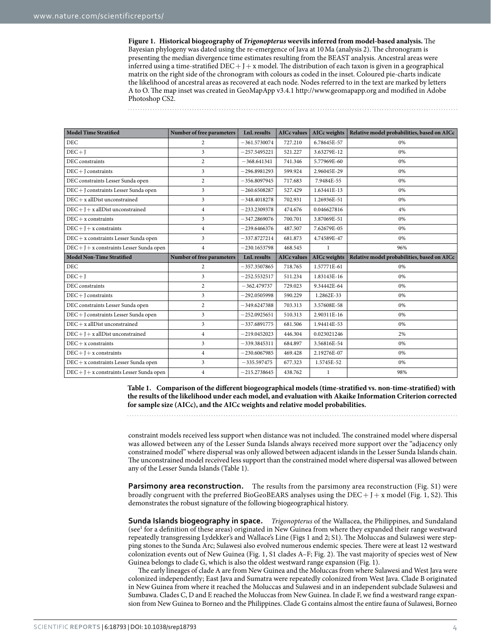<span id="page-3-0"></span>**Figure 1. Historical biogeography of** *Trigonopterus* **weevils inferred from model-based analysis.** The Bayesian phylogeny was dated using the re-emergence of Java at 10Ma (analysis 2). The chronogram is presenting the median divergence time estimates resulting from the BEAST analysis. Ancestral areas were inferred using a time-stratified  $DEC + J + x$  model. The distribution of each taxon is given in a geographical matrix on the right side of the chronogram with colours as coded in the inset. Coloured pie-charts indicate the likelihood of ancestral areas as recovered at each node. Nodes referred to in the text are marked by letters A to O. The map inset was created in GeoMapApp v3.4.1 <http://www.geomapapp.org>and modified in Adobe Photoshop CS2.

<span id="page-3-1"></span>

| <b>Model Time Stratified</b>            | Number of free parameters | <b>LnL</b> results | <b>AICc</b> values | <b>AICc</b> weights | Relative model probabilities, based on AICc |
|-----------------------------------------|---------------------------|--------------------|--------------------|---------------------|---------------------------------------------|
| <b>DEC</b>                              | 2                         | $-361.5730074$     | 727.210            | 6.78645E-57         | 0%                                          |
| $DEC+I$                                 | 3                         | $-257.5495221$     | 521.227            | 3.63279E-12         | 0%                                          |
| DEC constraints                         | $\overline{2}$            | $-368,641341$      | 741.346            | 5.77969E-60         | 0%                                          |
| $DEC + J$ constraints                   | 3                         | $-296.8981293$     | 599.924            | 2.96045E-29         | 0%                                          |
| DEC constraints Lesser Sunda open       | $\overline{2}$            | $-356.8097945$     | 717.683            | 7.9484E-55          | 0%                                          |
| DEC+ J constraints Lesser Sunda open    | 3                         | $-260.6508287$     | 527.429            | 1.63441E-13         | 0%                                          |
| $DEC + x$ all Dist unconstrained        | 3                         | $-348.4018278$     | 702.931            | 1.26936E-51         | 0%                                          |
| $DEC + I + x$ all Dist unconstrained    | $\overline{4}$            | $-233.2309378$     | 474.676            | 0.046627816         | 4%                                          |
| $DEC + x$ constraints                   | 3                         | $-347.2869076$     | 700.701            | 3.87069E-51         | 0%                                          |
| $DEC+I+x$ constraints                   | $\overline{4}$            | $-239.6466376$     | 487.507            | 7.62679E-05         | 0%                                          |
| DEC + x constraints Lesser Sunda open   | 3                         | $-337.8727214$     | 681.873            | 4.74589E-47         | 0%                                          |
| $DEC+J+x$ constraints Lesser Sunda open | $\overline{4}$            | $-230.1653798$     | 468.545            | 1                   | 96%                                         |
| <b>Model Non-Time Stratified</b>        | Number of free parameters | <b>LnL</b> results | <b>AICc values</b> | <b>AICc</b> weights | Relative model probabilities, based on AICc |
|                                         |                           |                    |                    |                     |                                             |
| $\rm DEC$                               | $\overline{2}$            | $-357.3507865$     | 718.765            | 1.57771E-61         | 0%                                          |
| $DEC+I$                                 | $\overline{\mathbf{3}}$   | $-252.5532517$     | 511.234            | 1.83143E-16         | 0%                                          |
| DEC constraints                         | $\sqrt{2}$                | $-362.479737$      | 729.023            | 9.34442E-64         | 0%                                          |
| $DEC + J$ constraints                   | $\overline{3}$            | $-292.0505998$     | 590.229            | 1.2862E-33          | 0%                                          |
| DEC constraints Lesser Sunda open       | $\overline{2}$            | $-349.6247388$     | 703.313            | 3.57608E-58         | 0%                                          |
| DEC+ J constraints Lesser Sunda open    | $\overline{\mathbf{3}}$   | $-252.0925651$     | 510.313            | 2.90311E-16         | 0%                                          |
| $DEC + x$ all Dist unconstrained        | $\overline{\mathbf{3}}$   | $-337.6891775$     | 681.506            | 1.94414E-53         | 0%                                          |
| $DEC+J+x$ all Dist unconstrained        | $\overline{4}$            | $-219.0452023$     | 446.304            | 0.023021246         | 2%                                          |
| $DEC + x$ constraints                   | 3                         | $-339.3845311$     | 684.897            | 3.56816E-54         | 0%                                          |
| $DEC+J+x$ constraints                   | $\overline{4}$            | $-230.6067985$     | 469.428            | 2.19276E-07         | 0%                                          |
| DEC + x constraints Lesser Sunda open   | $\overline{\mathbf{3}}$   | $-335.597475$      | 677.323            | 1.5745E-52          | 0%                                          |

**Table 1. Comparison of the different biogeographical models (time-stratified vs. non-time-stratified) with the results of the likelihood under each model, and evaluation with Akaike Information Criterion corrected for sample size (AICc), and the AICc weights and relative model probabilities.**

constraint models received less support when distance was not included. The constrained model where dispersal was allowed between any of the Lesser Sunda Islands always received more support over the "adjacency only constrained model" where dispersal was only allowed between adjacent islands in the Lesser Sunda Islands chain. The unconstrained model received less support than the constrained model where dispersal was allowed between any of the Lesser Sunda Islands [\(Table 1\)](#page-3-1).

**Parsimony area reconstruction.** The results from the parsimony area reconstruction (Fig. S1) were broadly congruent with the preferred BioGeoBEARS analyses using the  $DEC + J + x$  model ([Fig. 1](#page-3-0), S2). This demonstrates the robust signature of the following biogeographical history.

**Sunda Islands biogeography in space.** *Trigonopterus* of the Wallacea, the Philippines, and Sundaland (see<sup>[1](#page-9-0)</sup> for a definition of these areas) originated in New Guinea from where they expanded their range westward repeatedly transgressing Lydekker's and Wallace's Line [\(Figs 1](#page-3-0) and [2](#page-4-0); S1). The Moluccas and Sulawesi were stepping stones to the Sunda Arc; Sulawesi also evolved numerous endemic species. There were at least 12 westward colonization events out of New Guinea [\(Fig. 1](#page-3-0), S1 clades A–F; [Fig. 2](#page-4-0)). The vast majority of species west of New Guinea belongs to clade G, which is also the oldest westward range expansion [\(Fig. 1\)](#page-3-0).

The early lineages of clade A are from New Guinea and the Moluccas from where Sulawesi and West Java were colonized independently; East Java and Sumatra were repeatedly colonized from West Java. Clade B originated in New Guinea from where it reached the Moluccas and Sulawesi and in an independent subclade Sulawesi and Sumbawa. Clades C, D and E reached the Moluccas from New Guinea. In clade F, we find a westward range expansion from New Guinea to Borneo and the Philippines. Clade G contains almost the entire fauna of Sulawesi, Borneo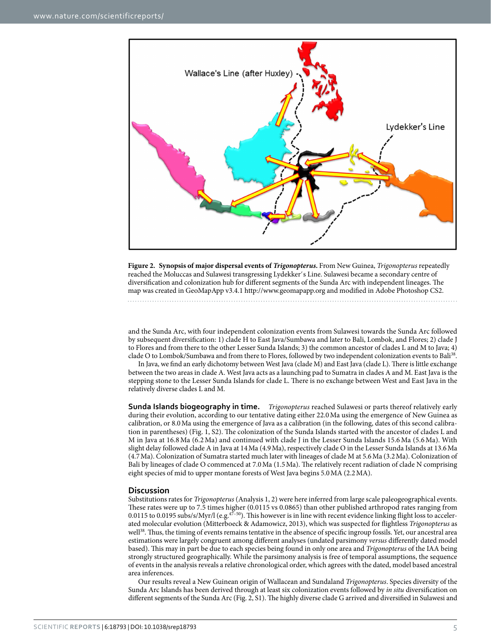

<span id="page-4-0"></span>**Figure 2. Synopsis of major dispersal events of** *Trigonopterus***.** From New Guinea, *Trigonopterus* repeatedly reached the Moluccas and Sulawesi transgressing Lydekker′s Line. Sulawesi became a secondary centre of diversification and colonization hub for different segments of the Sunda Arc with independent lineages. The map was created in GeoMapApp v3.4.1 <http://www.geomapapp.org>and modified in Adobe Photoshop CS2.

and the Sunda Arc, with four independent colonization events from Sulawesi towards the Sunda Arc followed by subsequent diversification: 1) clade H to East Java/Sumbawa and later to Bali, Lombok, and Flores; 2) clade J to Flores and from there to the other Lesser Sunda Islands; 3) the common ancestor of clades L and M to Java; 4) clade O to Lombok/Sumbawa and from there to Flores, followed by two independent colonization events to Bali[38.](#page-9-27)

In Java, we find an early dichotomy between West Java (clade M) and East Java (clade L). There is little exchange between the two areas in clade A. West Java acts as a launching pad to Sumatra in clades A and M. East Java is the stepping stone to the Lesser Sunda Islands for clade L. There is no exchange between West and East Java in the relatively diverse clades L and M.

**Sunda Islands biogeography in time.** *Trigonopterus* reached Sulawesi or parts thereof relatively early during their evolution, according to our tentative dating either 22.0Ma using the emergence of New Guinea as calibration, or 8.0Ma using the emergence of Java as a calibration (in the following, dates of this second calibration in parentheses) ([Fig. 1,](#page-3-0) S2). The colonization of the Sunda Islands started with the ancestor of clades L and M in Java at 16.8 Ma (6.2 Ma) and continued with clade J in the Lesser Sunda Islands 15.6 Ma (5.6 Ma). With slight delay followed clade A in Java at 14Ma (4.9Ma), respectively clade O in the Lesser Sunda Islands at 13.6Ma (4.7Ma). Colonization of Sumatra started much later with lineages of clade M at 5.6Ma (3.2Ma). Colonization of Bali by lineages of clade O commenced at 7.0Ma (1.5Ma). The relatively recent radiation of clade N comprising eight species of mid to upper montane forests of West Java begins 5.0MA (2.2MA).

#### **Discussion**

Substitutions rates for *Trigonopterus* (Analysis 1, 2) were here inferred from large scale paleogeographical events. These rates were up to 7.5 times higher (0.0115 vs 0.0865) than other published arthropod rates ranging from 0.0115 to 0.0195 subs/s/Myr/l (e.g. $47-50$ ). This however is in line with recent evidence linking flight loss to accelerated molecular evolution (Mitterboeck & Adamowicz, 2013), which was suspected for flightless *Trigonopterus* as well<sup>[38](#page-9-27)</sup>. Thus, the timing of events remains tentative in the absence of specific ingroup fossils. Yet, our ancestral area estimations were largely congruent among different analyses (undated parsimony *versus* differently dated model based). This may in part be due to each species being found in only one area and *Trigonopterus* of the IAA being strongly structured geographically. While the parsimony analysis is free of temporal assumptions, the sequence of events in the analysis reveals a relative chronological order, which agrees with the dated, model based ancestral area inferences.

Our results reveal a New Guinean origin of Wallacean and Sundaland *Trigonopterus*. Species diversity of the Sunda Arc Islands has been derived through at least six colonization events followed by *in situ* diversification on different segments of the Sunda Arc [\(Fig. 2](#page-4-0), S1). The highly diverse clade G arrived and diversified in Sulawesi and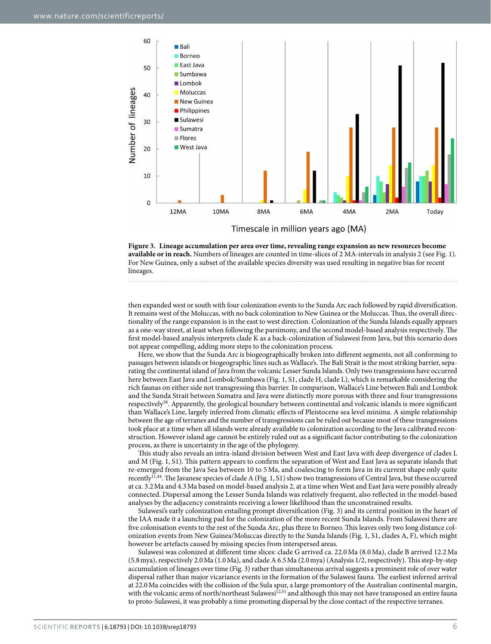

<span id="page-5-0"></span>

then expanded west or south with four colonization events to the Sunda Arc each followed by rapid diversification. It remains west of the Moluccas, with no back colonization to New Guinea or the Moluccas. Thus, the overall directionality of the range expansion is in the east to west direction. Colonization of the Sunda Islands equally appears as a one-way street, at least when following the parsimony, and the second model-based analysis respectively. The first model-based analysis interprets clade K as a back-colonization of Sulawesi from Java, but this scenario does not appear compelling, adding more steps to the colonization process.

Here, we show that the Sunda Arc is biogeographically broken into different segments, not all conforming to passages between islands or biogeographic lines such as Wallace's. The Bali Strait is the most striking barrier, separating the continental island of Java from the volcanic Lesser Sunda Islands. Only two transgressions have occurred here between East Java and Lombok/Sumbawa [\(Fig. 1,](#page-3-0) S1, clade H, clade L), which is remarkable considering the rich faunas on either side not transgressing this barrier. In comparison, Wallace's Line between Bali and Lombok and the Sunda Strait between Sumatra and Java were distinctly more porous with three and four transgressions respectively[38.](#page-9-27) Apparently, the geological boundary between continental and volcanic islands is more significant than Wallace's Line, largely inferred from climatic effects of Pleistocene sea level minima. A simple relationship between the age of terranes and the number of transgressions can be ruled out because most of these transgressions took place at a time when all islands were already available to colonization according to the Java calibrated reconstruction. However island age cannot be entirely ruled out as a significant factor contributing to the colonization process, as there is uncertainty in the age of the phylogeny.

This study also reveals an intra-island division between West and East Java with deep divergence of clades L and M [\(Fig. 1](#page-3-0), S1). This pattern appears to confirm the separation of West and East Java as separate islands that re-emerged from the Java Sea between 10 to 5Ma, and coalescing to form Java in its current shape only quite recently[11](#page-9-10)[,44](#page-10-4). The Javanese species of clade A [\(Fig. 1](#page-3-0), S1) show two transgressions of Central Java, but these occurred at ca. 3.2Ma and 4.3Ma based on model-based analysis 2, at a time when West and East Java were possibly already connected. Dispersal among the Lesser Sunda Islands was relatively frequent, also reflected in the model-based analyses by the adjacency constraints receiving a lower likelihood than the unconstrained results.

Sulawesi's early colonization entailing prompt diversification ([Fig. 3\)](#page-5-0) and its central position in the heart of the IAA made it a launching pad for the colonization of the more recent Sunda Islands. From Sulawesi there are five colonisation events to the rest of the Sunda Arc, plus three to Borneo. This leaves only two long distance colonization events from New Guinea/Moluccas directly to the Sunda Islands ([Fig. 1,](#page-3-0) S1, clades A, F), which might however be artefacts caused by missing species from interspersed areas.

Sulawesi was colonized at different time slices: clade G arrived ca. 22.0Ma (8.0Ma), clade B arrived 12.2Ma (5.8mya), respectively 2.0Ma (1.0Ma), and clade A 6.5Ma (2.0mya) (Analysis 1/2, respectively). This step-by-step accumulation of lineages over time [\(Fig. 3\)](#page-5-0) rather than simultaneous arrival suggests a prominent role of over water dispersal rather than major vicariance events in the formation of the Sulawesi fauna. The earliest inferred arrival at 22.0Ma coincides with the collision of the Sula spur, a large promontory of the Australian continental margin, with the volcanic arms of north/northeast Sulawesi<sup>[12](#page-9-11),[51](#page-10-7)</sup> and although this may not have transposed an entire fauna to proto-Sulawesi, it was probably a time promoting dispersal by the close contact of the respective terranes.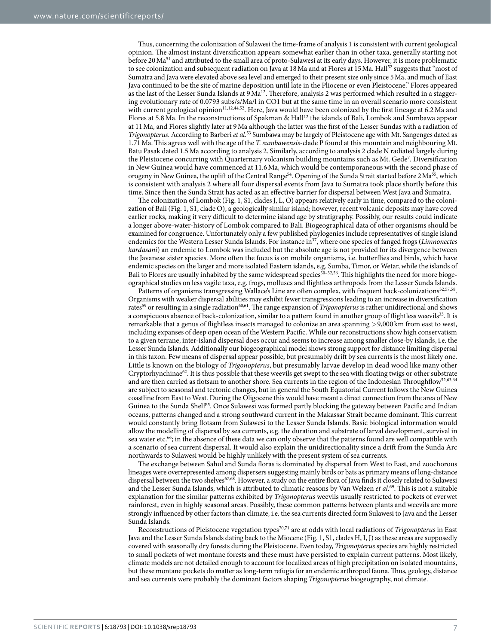Thus, concerning the colonization of Sulawesi the time-frame of analysis 1 is consistent with current geological opinion. The almost instant diversification appears somewhat earlier than in other taxa, generally starting not before 20M[a51](#page-10-7) and attributed to the small area of proto-Sulawesi at its early days. However, it is more problematic to see colonization and subsequent radiation on Java at 18 Ma and at Flores at 15 Ma. Hall<sup>52</sup> suggests that "most of Sumatra and Java were elevated above sea level and emerged to their present size only since 5Ma, and much of East Java continued to be the site of marine deposition until late in the Pliocene or even Pleistocene." Flores appeared as the last of the Lesser Sunda Islands at 9 Ma<sup>12</sup>. Therefore, analysis 2 was performed which resulted in a staggering evolutionary rate of 0.0793 subs/s/Ma/l in CO1 but at the same time in an overall scenario more consistent with current geological opinion<sup>[11](#page-9-10),[12](#page-9-11),[44](#page-10-4),[52](#page-10-8)</sup>. Here, Java would have been colonized by the first lineage at 6.2 Ma and Flores at 5.8 Ma. In the reconstructions of Spakman & Hall<sup>12</sup> the islands of Bali, Lombok and Sumbawa appear at 11Ma, and Flores slightly later at 9Ma although the latter was the first of the Lesser Sundas with a radiation of *Trigonopterus*. According to Barberi *et al.*[53](#page-10-9) Sumbawa may be largely of Pleistocene age with Mt. Sangenges dated as 1.71Ma. This agrees well with the age of the *T. sumbawensis*-clade P found at this mountain and neighbouring Mt. Batu Pasak dated 1.5Ma according to analysis 2. Similarly, according to analysis 2 clade N radiated largely during the Pleistocene concurring with Quarternary volcanism building mountains such as Mt. Gede<sup>7</sup>. Diversification in New Guinea would have commenced at 11.6Ma, which would be contemporaneous with the second phase of orogeny in New Guinea, the uplift of the Central Range<sup>54</sup>. Opening of the Sunda Strait started before  $2 \text{ Ma}^{55}$  $2 \text{ Ma}^{55}$  $2 \text{ Ma}^{55}$ , which is consistent with analysis 2 where all four dispersal events from Java to Sumatra took place shortly before this time. Since then the Sunda Strait has acted as an effective barrier for dispersal between West Java and Sumatra.

The colonization of Lombok ([Fig. 1](#page-3-0), S1, clades J, L, O) appears relatively early in time, compared to the colonization of Bali [\(Fig. 1,](#page-3-0) S1, clade O), a geologically similar island; however, recent volcanic deposits may have coved earlier rocks, making it very difficult to determine island age by stratigraphy. Possibly, our results could indicate a longer above-water-history of Lombok compared to Bali. Biogeographical data of other organisms should be examined for congruence. Unfortunately only a few published phylogenies include representatives of single island endemics for the Western Lesser Sunda Islands. For instance in<sup>[37](#page-9-26)</sup>, where one species of fanged frogs (*Limnonectes kardasani*) an endemic to Lombok was included but the absolute age is not provided for its divergence between the Javanese sister species. More often the focus is on mobile organisms, i.e. butterflies and birds, which have endemic species on the larger and more isolated Eastern islands, e.g. Sumba, Timor, or Wetar, while the islands of Bali to Flores are usually inhabited by the same widespread species<sup>[30–32](#page-9-29),56</sup>. This highlights the need for more biogeographical studies on less vagile taxa, e.g. frogs, molluscs and flightless arthropods from the Lesser Sunda Islands.

Patterns of organisms transgressing Wallace's Line are often complex, with frequent back-colonizations<sup>32,[57,](#page-10-13)58</sup>. Organisms with weaker dispersal abilities may exhibit fewer transgressions leading to an increase in diversification rates<sup>59</sup> or resulting in a single radiation<sup>60,61</sup>. The range expansion of *Trigonopterus* is rather unidirectional and shows a conspicuous absence of back-colonization, similar to a pattern found in another group of flightless weevils<sup>[33](#page-9-31)</sup>. It is remarkable that a genus of flightless insects managed to colonize an area spanning >9,000 km from east to west, including expanses of deep open ocean of the Western Pacific. While our reconstructions show high conservatism to a given terrane, inter-island dispersal does occur and seems to increase among smaller close-by islands, i.e. the Lesser Sunda Islands. Additionally our biogeographical model shows strong support for distance limiting dispersal in this taxon. Few means of dispersal appear possible, but presumably drift by sea currents is the most likely one. Little is known on the biology of *Trigonopterus*, but presumably larvae develop in dead wood like many other Cryptorhynchinae $62$ . It is thus possible that these weevils get swept to the sea with floating twigs or other substrate and are then carried as flotsam to another shore. Sea currents in the region of the Indonesian Throughflow<sup>52,[63,](#page-10-19)[64](#page-10-20)</sup> are subject to seasonal and tectonic changes, but in general the South Equatorial Current follows the New Guinea coastline from East to West. During the Oligocene this would have meant a direct connection from the area of New Guinea to the Sunda Shelf<sup>65</sup>. Once Sulawesi was formed partly blocking the gateway between Pacific and Indian oceans, patterns changed and a strong southward current in the Makassar Strait became dominant. This current would constantly bring flotsam from Sulawesi to the Lesser Sunda Islands. Basic biological information would allow the modelling of dispersal by sea currents, e.g. the duration and substrate of larval development, survival in sea water etc.[66](#page-10-22); in the absence of these data we can only observe that the patterns found are well compatible with a scenario of sea current dispersal. It would also explain the unidirectionality since a drift from the Sunda Arc northwards to Sulawesi would be highly unlikely with the present system of sea currents.

The exchange between Sahul and Sunda floras is dominated by dispersal from West to East, and zoochorous lineages were overrepresented among dispersers suggesting mainly birds or bats as primary means of long-distance dispersal between the two shelves<sup>[67](#page-10-23),68</sup>. However, a study on the entire flora of Java finds it closely related to Sulawesi and the Lesser Sunda Islands, which is attributed to climatic reasons by Van Welzen *et al.*[69](#page-10-25). This is not a suitable explanation for the similar patterns exhibited by *Trigonopterus* weevils usually restricted to pockets of everwet rainforest, even in highly seasonal areas. Possibly, these common patterns between plants and weevils are more strongly influenced by other factors than climate, i.e. the sea currents directed form Sulawesi to Java and the Lesser Sunda Islands.

Reconstructions of Pleistocene vegetation types[70](#page-10-26),[71](#page-10-27) are at odds with local radiations of *Trigonopterus* in East Java and the Lesser Sunda Islands dating back to the Miocene [\(Fig. 1](#page-3-0), S1, clades H, I, J) as these areas are supposedly covered with seasonally dry forests during the Pleistocene. Even today, *Trigonopterus* species are highly restricted to small pockets of wet montane forests and these must have persisted to explain current patterns. Most likely, climate models are not detailed enough to account for localized areas of high precipitation on isolated mountains, but these montane pockets do matter as long-term refugia for an endemic arthropod fauna. Thus, geology, distance and sea currents were probably the dominant factors shaping *Trigonopterus* biogeography, not climate.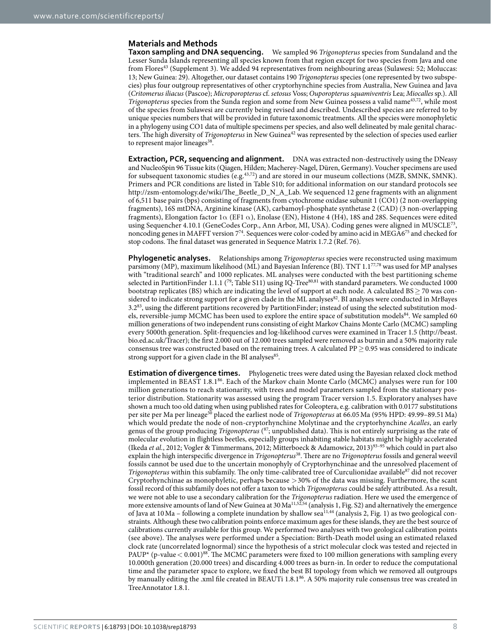### **Materials and Methods**

**Taxon sampling and DNA sequencing.** We sampled 96 *Trigonopterus* species from Sundaland and the Lesser Sunda Islands representing all species known from that region except for two species from Java and one from Flore[s43](#page-10-3) (Supplement 3). We added 94 representatives from neighbouring areas (Sulawesi: 52; Moluccas: 13; New Guinea: 29). Altogether, our dataset contains 190 *Trigonopterus* species (one represented by two subspecies) plus four outgroup representatives of other cryptorhynchine species from Australia, New Guinea and Java (*Critomerus iliacus* (Pascoe); *Microporopterus* cf. *setosus* Voss; *Ouporopterus squamiventris* Lea; *Miocalles* sp.). All *Trigonopterus* species from the Sunda region and some from New Guinea possess a valid name<sup>[43,](#page-10-3)72</sup>, while most of the species from Sulawesi are currently being revised and described. Undescribed species are referred to by unique species numbers that will be provided in future taxonomic treatments. All the species were monophyletic in a phylogeny using CO1 data of multiple specimens per species, and also well delineated by male genital characters. The high diversity of *Trigonopterus* in New Guinea[42](#page-10-2) was represented by the selection of species used earlier to represent major lineages<sup>[38](#page-9-27)</sup>.

**Extraction, PCR, sequencing and alignment.** DNA was extracted non-destructively using the DNeasy and NucleoSpin 96 Tissue kits (Qiagen, Hilden; Macherey-Nagel, Düren, Germany). Voucher specimens are used for subsequent taxonomic studies (e.g[.43](#page-10-3)[,72](#page-10-28)) and are stored in our museum collections (MZB, SMNK, SMNK). Primers and PCR conditions are listed in Table S10; for additional information on our standard protocols see [http://zsm-entomology.de/wiki/The\\_Beetle\\_D\\_N\\_A\\_Lab.](http://zsm-entomology.de/wiki/The_Beetle_D_N_A_Lab) We sequenced 12 gene fragments with an alignment of 6,511 base pairs (bps) consisting of fragments from cytochrome oxidase subunit 1 (CO1) (2 non-overlapping fragments), 16S mtDNA, Arginine kinase (AK), carbamoyl-phosphate synthetase 2 (CAD) (3 non-overlapping fragments), Elongation factor 1α (EF1 α), Enolase (EN), Histone 4 (H4), 18S and 28S. Sequences were edited using Sequencher 4.10.1 (GeneCodes Corp., Ann Arbor, MI, USA). Coding genes were aligned in MUSCLE[73,](#page-10-29) noncoding genes in MAFFT version  $7^{74}$  $7^{74}$  $7^{74}$ . Sequences were color-coded by amino acid in MEGA6<sup>75</sup> and checked for stop codons. The final dataset was generated in Sequence Matrix 1.7.2 (Ref. [76\)](#page-10-32).

**Phylogenetic analyses.** Relationships among *Trigonopterus* species were reconstructed using maximum parsimony (MP), maximum likelihood (ML) and Bayesian Inference (BI). TNT 1.1[77,](#page-10-33)[78](#page-10-34) was used for MP analyses with "traditional search" and 1000 replicates. ML analyses were conducted with the best partitioning scheme selected in PartitionFinder 1.1.1 ( $^{79}$ ; Table S11) using IQ-Tree<sup>[80,](#page-11-0)81</sup> with standard parameters. We conducted 1000 bootstrap replicates (BS) which are indicating the level of support at each node. A calculated  $BS \ge 70$  was considered to indicate strong support for a given clade in the ML analyses<sup>82</sup>. BI analyses were conducted in MrBayes 3.[283,](#page-11-3) using the different partitions recovered by PartitionFinder; instead of using the selected substitution mod-els, reversible-jump MCMC has been used to explore the entire space of substitution models[84.](#page-11-4) We sampled 60 million generations of two independent runs consisting of eight Markov Chains Monte Carlo (MCMC) sampling every 5000th generation. Split-frequencies and log-likelihood curves were examined in Tracer 1.5 [\(http://beast.](http://beast.bio.ed.ac.uk/Tracer) [bio.ed.ac.uk/Tracer\)](http://beast.bio.ed.ac.uk/Tracer); the first 2.000 out of 12.000 trees sampled were removed as burnin and a 50% majority rule consensus tree was constructed based on the remaining trees. A calculated PP  $\geq$  0.95 was considered to indicate strong support for a given clade in the BI analyses<sup>85</sup>.

**Estimation of divergence times.** Phylogenetic trees were dated using the Bayesian relaxed clock method implemented in BEAST 1.8.1[86.](#page-11-6) Each of the Markov chain Monte Carlo (MCMC) analyses were run for 100 million generations to reach stationarity, with trees and model parameters sampled from the stationary posterior distribution. Stationarity was assessed using the program Tracer version 1.5. Exploratory analyses have shown a much too old dating when using published rates for Coleoptera, e.g. calibration with 0.0177 substitutions per site per Ma per lineage[50](#page-10-36) placed the earliest node of *Trigonopterus* at 66.05Ma (95% HPD: 49.99–89.51Ma) which would predate the node of non-cryptorhynchine Molytinae and the cryptorhynchine *Acalles*, an early genus of the group producing *Trigonopterus* ([87;](#page-11-7) unpublished data). This is not entirely surprising as the rate of molecular evolution in flightless beetles, especially groups inhabiting stable habitats might be highly accelerated (Ikeda *et al.*, 2012; Vogler & Timmermans, 2012; Mitterboeck & Adamowicz, 2013[\)93–95](#page-11-8) which could in part also explain the high interspecific divergence in *Trigonopterus*[38](#page-9-27). There are no *Trigonopterus* fossils and general weevil fossils cannot be used due to the uncertain monophyly of Cryptorhynchinae and the unresolved placement of *Trigonopterus* within this subfamily. The only time-calibrated tree of Curculionidae available<sup>87</sup> did not recover Cryptorhynchinae as monophyletic, perhaps because >30% of the data was missing. Furthermore, the scant fossil record of this subfamily does not offer a taxon to which *Trigonopterus* could be safely attributed. As a result, we were not able to use a secondary calibration for the *Trigonopterus* radiation. Here we used the emergence of more extensive amounts of land of New Guinea at 30 Ma<sup>11,[52,](#page-10-8)[54](#page-10-10)</sup> (analysis 1, Fig. S2) and alternatively the emergence of Java at 10 Ma – following a complete inundation by shallow sea<sup>11[,44](#page-10-4)</sup> (analysis 2, [Fig. 1](#page-3-0)) as two geological constraints. Although these two calibration points enforce maximum ages for these islands, they are the best source of calibrations currently available for this group. We performed two analyses with two geological calibration points (see above). The analyses were performed under a Speciation: Birth-Death model using an estimated relaxed clock rate (uncorrelated lognormal) since the hypothesis of a strict molecular clock was tested and rejected in PAUP\* (p-value  $< 0.001$ )<sup>88</sup>. The MCMC parameters were fixed to 100 million generations with sampling every 10.000th generation (20.000 trees) and discarding 4.000 trees as burn-in. In order to reduce the computational time and the parameter space to explore, we fixed the best BI topology from which we removed all outgroups by manually editing the .xml file created in BEAUTi 1.8.1<sup>86</sup>. A 50% majority rule consensus tree was created in TreeAnnotator 1.8.1.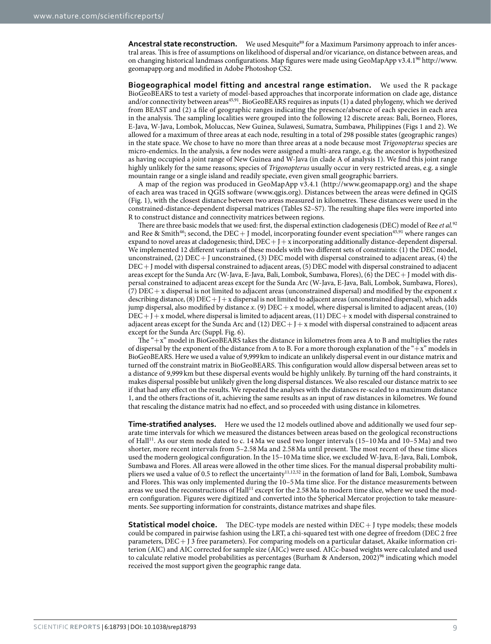**Ancestral state reconstruction.** We used Mesquite<sup>89</sup> for a Maximum Parsimony approach to infer ancestral areas. This is free of assumptions on likelihood of dispersal and/or vicariance, on distance between areas, and on changing historical landmass configurations. Map figures were made using GeoMapApp v3.4.1<sup>90</sup> [http://www.](http://www.geomapapp.org) [geomapapp.org](http://www.geomapapp.org) and modified in Adobe Photoshop CS2.

**Biogeographical model fitting and ancestral range estimation.** We used the R package BioGeoBEARS to test a variety of model-based approaches that incorporate information on clade age, distance and/or connectivity between areas<sup>45,91</sup>. BioGeoBEARS requires as inputs (1) a dated phylogeny, which we derived from BEAST and (2) a file of geographic ranges indicating the presence/absence of each species in each area in the analysis. The sampling localities were grouped into the following 12 discrete areas: Bali, Borneo, Flores, E-Java, W-Java, Lombok, Moluccas, New Guinea, Sulawesi, Sumatra, Sumbawa, Philippines ([Figs 1](#page-3-0) and [2\)](#page-4-0). We allowed for a maximum of three areas at each node, resulting in a total of 298 possible states (geographic ranges) in the state space. We chose to have no more than three areas at a node because most *Trigonopterus* species are micro-endemics. In the analysis, a few nodes were assigned a multi-area range, e.g. the ancestor is hypothesized as having occupied a joint range of New Guinea and W-Java (in clade A of analysis 1). We find this joint range highly unlikely for the same reasons; species of *Trigonopterus* usually occur in very restricted areas, e.g. a single mountain range or a single island and readily speciate, even given small geographic barriers.

A map of the region was produced in GeoMapApp v3.4.1 [\(http://www.geomapapp.org](http://www.geomapapp.org)) and the shape of each area was traced in QGIS software ([www.qgis.org\)](http://www.qgis.org). Distances between the areas were defined in QGIS ([Fig. 1](#page-3-0)), with the closest distance between two areas measured in kilometres. These distances were used in the constrained-distance-dependent dispersal matrices (Tables S2–S7). The resulting shape files were imported into R to construct distance and connectivity matrices between regions.

There are three basic models that we used: first, the dispersal extinction cladogenesis (DEC) model of Ree *et al.*[92](#page-11-13) and Ree & Smith<sup>46</sup>; second, the DEC + J model, incorporating founder event speciation<sup>45[,91](#page-11-12)</sup> where ranges can expand to novel areas at cladogenesis; third,  $DEC + J + x$  incorporating additionally distance-dependent dispersal. We implemented 12 different variants of these models with two different sets of constraints: (1) the DEC model, unconstrained, (2)  $DEC + J$  unconstrained, (3)  $DEC$  model with dispersal constrained to adjacent areas, (4) the DEC+ J model with dispersal constrained to adjacent areas, (5) DEC model with dispersal constrained to adjacent areas except for the Sunda Arc (W-Java, E-Java, Bali, Lombok, Sumbawa, Flores), (6) the DEC+ J model with dispersal constrained to adjacent areas except for the Sunda Arc (W-Java, E-Java, Bali, Lombok, Sumbawa, Flores), (7) DEC+ x dispersal is not limited to adjacent areas (unconstrained dispersal) and modified by the exponent *x* describing distance, (8)  $DEC+J+x$  dispersal is not limited to adjacent areas (unconstrained dispersal), which adds jump dispersal, also modified by distance *x*. (9) DEC+ x model, where dispersal is limited to adjacent areas, (10)  $DEC + J + x$  model, where dispersal is limited to adjacent areas, (11)  $DEC + x$  model with dispersal constrained to adjacent areas except for the Sunda Arc and (12)  $DEC+J+x$  model with dispersal constrained to adjacent areas except for the Sunda Arc (Suppl. Fig. 6).

The "+x" model in BioGeoBEARS takes the distance in kilometres from area A to B and multiplies the rates of dispersal by the exponent of the distance from A to B. For a more thorough explanation of the " $+x$ " models in BioGeoBEARS. Here we used a value of 9,999km to indicate an unlikely dispersal event in our distance matrix and turned off the constraint matrix in BioGeoBEARS. This configuration would allow dispersal between areas set to a distance of 9,999 km but these dispersal events would be highly unlikely. By turning off the hard constraints, it makes dispersal possible but unlikely given the long dispersal distances. We also rescaled our distance matrix to see if that had any effect on the results. We repeated the analyses with the distances re-scaled to a maximum distance 1, and the others fractions of it, achieving the same results as an input of raw distances in kilometres. We found that rescaling the distance matrix had no effect, and so proceeded with using distance in kilometres.

**Time-stratified analyses.** Here we used the 12 models outlined above and additionally we used four separate time intervals for which we measured the distances between areas based on the geological reconstructions of Hall[11.](#page-9-10) As our stem node dated to c. 14Ma we used two longer intervals (15–10Ma and 10–5Ma) and two shorter, more recent intervals from 5–2.58Ma and 2.58Ma until present. The most recent of these time slices used the modern geological configuration. In the 15–10Ma time slice, we excluded W-Java, E-Java, Bali, Lombok, Sumbawa and Flores. All areas were allowed in the other time slices. For the manual dispersal probability multi-pliers we used a value of 0.5 to reflect the uncertainty<sup>11[,12](#page-9-11)[,52](#page-10-8)</sup> in the formation of land for Bali, Lombok, Sumbawa and Flores. This was only implemented during the 10–5Ma time slice. For the distance measurements between areas we used the reconstructions of Hall<sup>[11](#page-9-10)</sup> except for the 2.58 Ma to modern time slice, where we used the modern configuration. Figures were digitized and converted into the Spherical Mercator projection to take measurements. See supporting information for constraints, distance matrixes and shape files.

**Statistical model choice.** The DEC-type models are nested within DEC + J type models; these models could be compared in pairwise fashion using the LRT, a chi-squared test with one degree of freedom (DEC 2 free parameters, DEC+ J 3 free parameters). For comparing models on a particular dataset, Akaike information criterion (AIC) and AIC corrected for sample size (AICc) were used. AICc-based weights were calculated and used to calculate relative model probabilities as percentages (Burham & Anderson, 2002)<sup>96</sup> indicating which model received the most support given the geographic range data.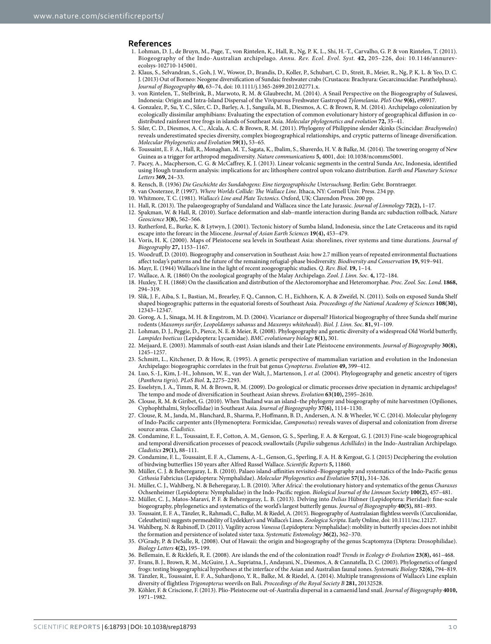#### **References**

- <span id="page-9-0"></span>1. Lohman, D. J., de Bruyn, M., Page, T., von Rintelen, K., Hall, R., Ng, P. K. L., Shi, H.-T., Carvalho, G. P. & von Rintelen, T. (2011). Biogeography of the Indo-Australian archipelago. *Annu. Rev. Ecol. Evol. Syst.* **42,** 205–226, doi: 10.1146/annurevecolsys-102710-145001.
- <span id="page-9-1"></span>2. Klaus, S., Selvandran, S., Goh, J. W., Wowor, D., Brandis, D., Koller, P., Schubart, C. D., Streit, B., Meier, R., Ng, P. K. L. & Yeo, D. C. J. (2013) Out of Borneo: Neogene diversification of Sundaic freshwater crabs (Crustacea: Brachyura: Gecarcinucidae: Parathelphusa). *Journal of Biogeography* **40,** 63–74, doi: 10.1111/j.1365-2699.2012.02771.x.
- <span id="page-9-2"></span>3. von Rintelen, T., Stelbrink, B., Marwoto, R. M. & Glaubrecht, M. (2014). A Snail Perspective on the Biogeography of Sulawesi, Indonesia: Origin and Intra-Island Dispersal of the Viviparous Freshwater Gastropod *Tylomelania*. *PloS One* **9(6),** e98917.
- <span id="page-9-3"></span>4. Gonzalez, P., Su, Y. C., Siler, C. D., Barley, A. J., Sanguila, M. B., Diesmos, A. C. & Brown, R. M. (2014). Archipelago colonization by ecologically dissimilar amphibians: Evaluating the expectation of common evolutionary history of geographical diffusion in codistributed rainforest tree frogs in islands of Southeast Asia. *Molecular phylogenetics and evolution* **72,** 35–41.
- <span id="page-9-4"></span>5. Siler, C. D., Diesmos, A. C., Alcala, A. C. & Brown, R. M. (2011). Phylogeny of Philippine slender skinks (Scincidae: *Brachymeles*) reveals underestimated species diversity, complex biogeographical relationships, and cryptic patterns of lineage diversification. *Molecular Phylogenetics and Evolution* **59(1),** 53–65.
- <span id="page-9-5"></span>6. Toussaint, E. F. A., Hall, R., Monaghan, M. T., Sagata, K., Ibalim, S., Shaverdo, H. V. & Balke, M. (2014). The towering orogeny of New Guinea as a trigger for arthropod megadiversity. *Nature communications* **5,** 4001, doi: 10.1038/ncomms5001.
- <span id="page-9-6"></span>7. Pacey, A., Macpherson, C. G. & McCaffrey, K. J. (2013). Linear volcanic segments in the central Sunda Arc, Indonesia, identified using Hough transform analysis: implications for arc lithosphere control upon volcano distribution. *Earth and Planetary Science Letters* **369,** 24–33.
- <span id="page-9-7"></span>8. Rensch, B. (1936) *Die Geschichte des Sundabogens: Eine tiergeographische Untersuchung*. Berlin: Gebr. Borntraeger.
- <span id="page-9-9"></span><span id="page-9-8"></span>9. van Oosterzee, P. (1997). *Where Worlds Collide: The Wallace Line*. Ithaca, NY: Cornell Univ. Press. 234 pp.
- 10. Whitmore, T. C. (1981). *Wallace's Line and Plate Tectonics*. Oxford, UK: Clarendon Press. 200 pp.
- <span id="page-9-10"></span>11. Hall, R. (2013). The palaeogeography of Sundaland and Wallacea since the Late Jurassic. *Journal of Limnology* **72(2),** 1–17.
- <span id="page-9-11"></span>12. Spakman, W. & Hall, R. (2010). Surface deformation and slab–mantle interaction during Banda arc subduction rollback. *Nature Geoscience* **3(8),** 562–566.
- <span id="page-9-12"></span>13. Rutherford, E., Burke, K. & Lytwyn, J. (2001). Tectonic history of Sumba Island, Indonesia, since the Late Cretaceous and its rapid escape into the forearc in the Miocene. *Journal of Asian Earth Sciences* **19(4),** 453–479.
- <span id="page-9-13"></span>14. Voris, H. K. (2000). Maps of Pleistocene sea levels in Southeast Asia: shorelines, river systems and time durations. *Journal of Biogeography* **27,** 1153–1167.
- <span id="page-9-14"></span>15. Woodruff, D. (2010). Biogeography and conservation in Southeast Asia: how 2.7 million years of repeated environmental fluctuations affect today's patterns and the future of the remaining refugial-phase biodiversity. *Biodiversity and Conservation* **19,** 919–941.
- <span id="page-9-16"></span><span id="page-9-15"></span>16. Mayr, E. (1944) Wallace's line in the light of recent zoogeographic studies. *Q. Rev. Biol*. **19,** 1–14.
- 17. Wallace, A. R. (1860) On the zoological geography of the Malay Archipelago. *Zool. J. Linn. Soc*. **4,** 172–184.
- <span id="page-9-17"></span>18. Huxley, T. H. (1868) On the classification and distribution of the Alectoromorphae and Heteromorphae. *Proc. Zool. Soc. Lond*. **1868,** 294–319.
- <span id="page-9-18"></span>19. Slik, J. F., Aiba, S. I., Bastian, M., Brearley, F. Q., Cannon, C. H., Eichhorn, K. A. & Zweifel, N. (2011). Soils on exposed Sunda Shelf shaped biogeographic patterns in the equatorial forests of Southeast Asia. *Proceedings of the National Academy of Sciences* **108(30),** 12343–12347.
- <span id="page-9-19"></span>20. Gorog, A. J., Sinaga, M. H. & Engstrom, M. D. (2004). Vicariance or dispersal? Historical biogeography of three Sunda shelf murine rodents (*Maxomys surifer*, *Leopoldamys sabanus* and *Maxomys whiteheadi*). *Biol. J. Linn. Soc*. **81,** 91–109.
- <span id="page-9-22"></span>21. Lohman, D. J., Peggie, D., Pierce, N. E. & Meier, R. (2008). Phylogeography and genetic diversity of a widespread Old World butterfly, *Lampides boeticus* (Lepidoptera: Lycaenidae). *BMC evolutionary biology* **8(1),** 301.
- 22. Meijaard, E. (2003). Mammals of south-east Asian islands and their Late Pleistocene environments. *Journal of Biogeography* **30(8),** 1245–1257.
- 23. Schmitt, L., Kitchener, D. & How, R. (1995). A genetic perspective of mammalian variation and evolution in the Indonesian Archipelago: biogeographic correlates in the fruit bat genus *Cynopterus*. *Evolution* **49,** 399–412.
- <span id="page-9-20"></span>24. Luo, S.-J., Kim, J.-H., Johnson, W. E., van der Walt, J., Martenson, J. *et al.* (2004). Phylogeography and genetic ancestry of tigers (*Panthera tigris*). *PLoS Biol*. **2,** 2275–2293.
- <span id="page-9-21"></span>25. Esselstyn, J. A., Timm, R. M. & Brown, R. M. (2009). Do geological or climatic processes drive speciation in dynamic archipelagos? The tempo and mode of diversification in Southeast Asian shrews. *Evolution* **63(10),** 2595–2610.
- <span id="page-9-23"></span>26. Clouse, R. M. & Giribet, G. (2010). When Thailand was an island–the phylogeny and biogeography of mite harvestmen (Opiliones, Cyphophthalmi, Stylocellidae) in Southeast Asia. *Journal of Biogeography* **37(6),** 1114–1130.
- 27. Clouse, R. M., Janda, M., Blanchard, B., Sharma, P., Hoffmann, B. D., Andersen, A. N. & Wheeler, W. C. (2014). Molecular phylogeny of Indo‐Pacific carpenter ants (Hymenoptera: Formicidae, *Camponotus*) reveals waves of dispersal and colonization from diverse source areas. *Cladistics*.
- 28. Condamine, F. L., Toussaint, E. F., Cotton, A. M., Genson, G. S., Sperling, F. A. & Kergoat, G. J. (2013) Fine-scale biogeographical and temporal diversification processes of peacock swallowtails (*Papilio* subgenus *Achillides*) in the Indo-Australian Archipelago. *Cladistics* **29(1),** 88–111.
- 29. Condamine, F. L., Toussaint, E. F. A., Clamens, A.-L., Genson, G., Sperling, F. A. H. & Kergoat, G. J. (2015) Deciphering the evolution of birdwing butterflies 150 years after Alfred Russel Wallace. *Scientific Reports* **5,** 11860.
- <span id="page-9-29"></span>30. Müller, C. J. & Beheregaray, L. B. (2010). Palaeo island-affinities revisited–Biogeography and systematics of the Indo-Pacific genus *Cethosia* Fabricius (Lepidoptera: Nymphalidae). *Molecular Phylogenetics and Evolution* **57(1),** 314–326.
- 31. Müller, C. J., Wahlberg, N. & Beheregaray, L. B. (2010). 'After Africa': the evolutionary history and systematics of the genus *Charaxes* Ochsenheimer (Lepidoptera: Nymphalidae) in the Indo-Pacific region. *Biological Journal of the Linnean Society* **100(2),** 457–481.
- <span id="page-9-30"></span>32. Müller, C. J., Matos-Maraví, P. F. & Beheregaray, L. B. (2013). Delving into *Delias* Hübner (Lepidoptera: Pieridae): fine-scale biogeography, phylogenetics and systematics of the world's largest butterfly genus. *Journal of Biogeography* **40(5),** 881–893.
- <span id="page-9-31"></span>33. Toussaint, E. F. A., Tänzler, R., Rahmadi, C., Balke, M. & Riedel, A. (2015). Biogeography of Australasian flightless weevils (Curculionidae, Celeuthetini) suggests permeability of Lydekker's and Wallace's Lines. *Zoologica Scripta*. Early Online, doi: 10.1111/zsc.12127.
- 34. Wahlberg, N. & Rubinoff, D. (2011). Vagility across *Vanessa* (Lepidoptera: Nymphalidae): mobility in butterfly species does not inhibit the formation and persistence of isolated sister taxa. *Systematic Entomology* **36(2),** 362–370.
- <span id="page-9-24"></span>35. O'Grady, P. & DeSalle, R. (2008). Out of Hawaii: the origin and biogeography of the genus Scaptomyza (Diptera: Drosophilidae). *Biology Letters* **4(2),** 195–199.
- <span id="page-9-25"></span>36. Bellemain, E. & Ricklefs, R. E. (2008). Are islands the end of the colonization road? *Trends in Ecology & Evolution* **23(8),** 461–468.
- <span id="page-9-26"></span>37. Evans, B. J., Brown, R. M., McGuire, J. A., Supriatna, J., Andayani, N., Diesmos, A. & Cannatella, D. C. (2003). Phylogenetics of fanged frogs: testing biogeographical hypotheses at the interface of the Asian and Australian faunal zones. *Systematic Biology* **52(6),** 794–819.
- <span id="page-9-27"></span>38. Tänzler, R., Toussaint, E. F. A., Suhardjono, Y. R., Balke, M. & Riedel, A. (2014). Multiple transgressions of Wallace's Line explain diversity of flightless *Trigonopterus* weevils on Bali. *Proceedings of the Royal Society B* **281,** 20132528.
- <span id="page-9-28"></span>39. Köhler, F. & Criscione, F. (2013). Plio-Pleistocene out-of-Australia dispersal in a camaenid land snail. *Journal of Biogeography* **4010,** 1971–1982.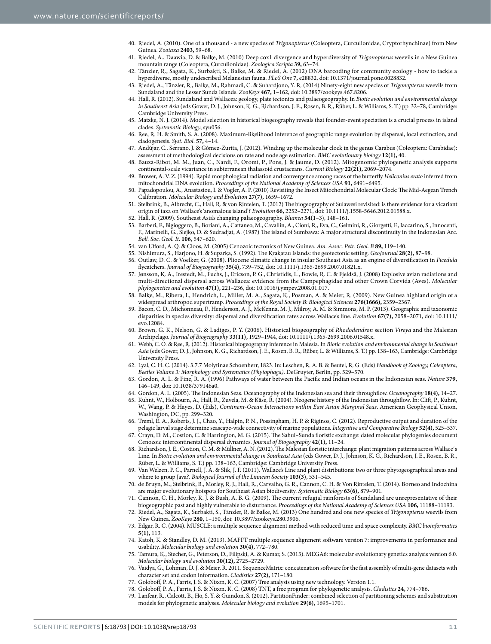- <span id="page-10-0"></span>40. Riedel, A. (2010). One of a thousand - a new species of *Trigonopterus* (Coleoptera, Curculionidae, Cryptorhynchinae) from New Guinea. *Zootaxa* **2403,** 59–68.
- <span id="page-10-1"></span>41. Riedel, A., Daawia, D. & Balke, M. (2010) Deep cox1 divergence and hyperdiversity of *Trigonopterus* weevils in a New Guinea mountain range (Coleoptera, Curculionidae). *Zoologica Scripta* **39,** 63–74.
- <span id="page-10-2"></span>42. Tänzler, R., Sagata, K., Surbakti, S., Balke, M. & Riedel, A. (2012) DNA barcoding for community ecology - how to tackle a hyperdiverse, mostly undescribed Melanesian fauna. *PLoS One* **7,** e28832, doi: 10.1371/journal.pone.0028832.
- <span id="page-10-3"></span>43. Riedel, A., Tänzler, R., Balke, M., Rahmadi, C. & Suhardjono, Y. R. (2014) Ninety-eight new species of *Trigonopterus* weevils from Sundaland and the Lesser Sunda Islands. *ZooKeys* **467,** 1–162, doi: 10.3897/zookeys.467.8206.
- <span id="page-10-4"></span>44. Hall, R. (2012). Sundaland and Wallacea: geology, plate tectonics and palaeogeography. In *Biotic evolution and environmental change in Southeast Asia* (eds Gower, D. J., Johnson, K. G., Richardson, J. E., Rosen, B. R., Rüber, L. & Williams, S. T.) pp. 32–78, Cambridge: Cambridge University Press.
- <span id="page-10-5"></span>45. Matzke, N. J. (2014). Model selection in historical biogeography reveals that founder-event speciation is a crucial process in island clades. *Systematic Biology*, syu056.
- <span id="page-10-37"></span>46. Ree, R. H. & Smith, S. A. (2008). Maximum-likelihood inference of geographic range evolution by dispersal, local extinction, and cladogenesis. *Syst. Biol*. **57,** 4–14.
- <span id="page-10-6"></span>47. Andújar, C., Serrano, J. & Gómez-Zurita, J. (2012). Winding up the molecular clock in the genus Carabus (Coleoptera: Carabidae): assessment of methodological decisions on rate and node age estimation. *BMC evolutionary biology* **12(1),** 40.
- 48. Bauzà-Ribot, M. M., Juan, C., Nardi, F., Oromí, P., Pons, J. & Jaume, D. (2012). Mitogenomic phylogenetic analysis supports continental-scale vicariance in subterranean thalassoid crustaceans. *Current Biology* **22(21),** 2069–2074.
- 49. Brower, A. V. Z. (1994). Rapid morphological radiation and convergence among races of the butterfly *Heliconius erato* inferred from mitochondrial DNA evolution. *Proceedings of the National Academy of Sciences USA* **91,** 6491–6495.
- <span id="page-10-36"></span>50. Papadopoulou, A., Anastasiou, I. & Vogler, A. P. (2010) Revisiting the Insect Mitochondrial Molecular Clock: The Mid-Aegean Trench Calibration. *Molecular Biology and Evolution* **27(7),** 1659–1672.
- <span id="page-10-7"></span>51. Stelbrink, B., Albrecht, C., Hall, R. & von Rintelen, T. (2012) The biogeography of Sulawesi revisited: is there evidence for a vicariant origin of taxa on Wallace's 'anomalous island'? *Evolution* **66,** 2252–2271, doi: 10.1111/j.1558-5646.2012.01588.x.
- <span id="page-10-8"></span>52. Hall, R. (2009). Southeast Asia's changing palaeogeography. *Blumea* **54(1**–3), 148–161.
- <span id="page-10-9"></span>53. Barberi, F., Bigioggero, B., Boriani, A., Cattaneo, M., Cavallin, A., Cioni, R., Eva, C., Gelmini, R., Giorgetti, F., Iaccarino, S., Innocenti, F., Marinelli, G., Slejko, D. & Sudradjat, A. (1987) The island of Sumbawa: A major structural discontinuity in the Indonesian Arc. *Boll. Soc. Geol. It*. **106,** 547–620.
- <span id="page-10-10"></span>54. van Ufford, A. Q. & Cloos, M. (2005) Cenozoic tectonics of New Guinea. *Am. Assoc. Petr. Geol. B* **89,** 119–140.
- <span id="page-10-11"></span>55. Nishimura, S., Harjono, H. & Suparka, S. (1992). The Krakatau Islands: the geotectonic setting. *GeoJournal* **28(2),** 87–98.
- <span id="page-10-12"></span>56. Outlaw, D. C. & Voelker, G. (2008). Pliocene climatic change in insular Southeast Asia as an engine of diversification in *Ficedula* flycatchers. *Journal of Biogeography* **35(4),** 739–752, doi: 10.1111/j.1365-2699.2007.01821.x.
- <span id="page-10-13"></span>57. Jønsson, K. A., Irestedt, M., Fuchs, J., Ericson, P. G., Christidis, L., Bowie, R. C. & Fjeldså, J. (2008) Explosive avian radiations and multi-directional dispersal across Wallacea: evidence from the Campephagidae and other Crown Corvida (Aves). *Molecular phylogenetics and evolution* **47(1),** 221–236, doi: 10.1016/j.ympev.2008.01.017.
- <span id="page-10-14"></span>58. Balke, M., Ribera, I., Hendrich, L., Miller, M. A., Sagata, K., Posman, A. & Meier, R. (2009). New Guinea highland origin of a widespread arthropod supertramp. *Proceedings of the Royal Society B: Biological Sciences* **276(1666),** 2359–2367.
- <span id="page-10-15"></span>59. Bacon, C. D., Michonneau, F., Henderson, A. J., McKenna, M. J., Milroy, A. M. & Simmons, M. P. (2013). Geographic and taxonomic disparities in species diversity: dispersal and diversification rates across Wallace's line. *Evolution* **67(7),** 2058–2071, doi: 10.1111/ evo.12084.
- <span id="page-10-16"></span>60. Brown, G. K., Nelson, G. & Ladiges, P. Y. (2006). Historical biogeography of *Rhododendron* section *Vireya* and the Malesian Archipelago. *Journal of Biogeography* **33(11),** 1929–1944, doi: 10.1111/j.1365-2699.2006.01548.x.
- <span id="page-10-17"></span>61. Webb, C. O. & Ree, R. (2012). Historical biogeography inference in Malesia. In *Biotic evolution and environmental change in Southeast Asia* (eds Gower, D. J., Johnson, K. G., Richardson, J. E., Rosen, B. R., Rüber, L. & Williams, S. T.) pp. 138–163, Cambridge: Cambridge University Press.
- <span id="page-10-18"></span>62. Lyal, C. H. C. (2014). 3.7.7 Molytinae Schoenherr, 1823. In: Leschen, R. A. B. & Beutel, R. G. (Eds) *Handbook of Zoology, Coleoptera, Beetles Volume 3: Morphology and Systematics (Phytophaga)*. DeGruyter, Berlin, pp. 529–570.
- <span id="page-10-19"></span>63. Gordon, A. L. & Fine, R. A. (1996) Pathways of water between the Pacific and Indian oceans in the Indonesian seas. *Nature* **379,** 146–149, doi: 10.1038/379146a0.
- <span id="page-10-20"></span>64. Gordon, A. L. (2005). The Indonesian Seas. Oceanography of the Indonesian sea and their throughflow. *Oceanography* **18(4),** 14–27.
- <span id="page-10-21"></span>65. Kuhnt, W., Holbourn, A., Hall, R., Zuvela, M. & Käse, R. (2004). Neogene history of the Indonesian throughflow. In: Clift, P., Kuhnt, W., Wang, P. & Hayes, D. (Eds), *Continent-Ocean Interactions within East Asian Marginal Seas*. American Geophysical Union, Washington, DC, pp. 299–320.
- <span id="page-10-22"></span>66. Treml, E. A., Roberts, J. J., Chao, Y., Halpin, P. N., Possingham, H. P. & Riginos, C. (2012). Reproductive output and duration of the pelagic larval stage determine seascape-wide connectivity of marine populations. *Integrative and Comparative Biology* **52(4),** 525–537.
- <span id="page-10-23"></span>67. Crayn, D. M., Costion, C. & Harrington, M. G. (2015). The Sahul–Sunda floristic exchange: dated molecular phylogenies document Cenozoic intercontinental dispersal dynamics. *Journal of Biogeography* **42(1),** 11–24.
- <span id="page-10-24"></span>68. Richardson, J. E., Costion, C. M. & Müllner, A. N. (2012). The Malesian floristic interchange: plant migration patterns across Wallace′s Line. In *Biotic evolution and environmental change in Southeast Asia* (eds Gower, D. J., Johnson, K. G., Richardson, J. E., Rosen, B. R., Rüber, L. & Williams, S. T.) pp. 138–163, Cambridge: Cambridge University Press.
- <span id="page-10-25"></span>69. Van Welzen, P. C., Parnell, J. A. & Slik, J. F. (2011). Wallace's Line and plant distributions: two or three phytogeographical areas and where to group Java?. *Biological Journal of the Linnean Society* **103(3),** 531–545.
- <span id="page-10-26"></span>70. de Bruyn, M., Stelbrink, B., Morley, R. J., Hall, R., Carvalho, G. R., Cannon, C. H. & Von Rintelen, T. (2014). Borneo and Indochina are major evolutionary hotspots for Southeast Asian biodiversity. *Systematic Biology* **63(6),** 879–901.
- <span id="page-10-27"></span>71. Cannon, C. H., Morley, R. J. & Bush, A. B. G. (2009). The current refugial rainforests of Sundaland are unrepresentative of their biogeographic past and highly vulnerable to disturbance. *Proceedings of the National Academy of Sciences USA* **106,** 11188–11193.
- <span id="page-10-28"></span>72. Riedel, A., Sagata, K., Surbakti, S., Tänzler, R. & Balke, M. (2013) One hundred and one new species of *Trigonopterus* weevils from New Guinea. *ZooKeys* **280,** 1–150, doi: 10.3897/zookeys.280.3906.
- <span id="page-10-29"></span>73. Edgar, R. C. (2004). MUSCLE: a multiple sequence alignment method with reduced time and space complexity. *BMC bioinformatics* **5(1),** 113.
- <span id="page-10-30"></span>74. Katoh, K. & Standley, D. M. (2013). MAFFT multiple sequence alignment software version 7: improvements in performance and usability. *Molecular biology and evolution* **30(4),** 772–780.
- <span id="page-10-31"></span>75. Tamura, K., Stecher, G., Peterson, D., Filipski, A. & Kumar, S. (2013). MEGA6: molecular evolutionary genetics analysis version 6.0. *Molecular biology and evolution* **30(12),** 2725–2729.
- <span id="page-10-32"></span>76. Vaidya, G., Lohman, D. J. & Meier, R. 2011. SequenceMatrix: concatenation software for the fast assembly of multi‐gene datasets with character set and codon information. *Cladistics* **27(2),** 171–180.
- <span id="page-10-34"></span><span id="page-10-33"></span>77. Goloboff, P. A., Farris, J. S. & Nixon, K. C. (2007) Tree analysis using new technology. Version 1.1.
- 78. Goloboff, P. A., Farris, J. S. & Nixon, K. C. (2008) TNT, a free program for phylogenetic analysis. *Cladistics* **24,** 774–786.
- <span id="page-10-35"></span>79. Lanfear, R., Calcott, B., Ho, S. Y. & Guindon, S. (2012). PartitionFinder: combined selection of partitioning schemes and substitution models for phylogenetic analyses. *Molecular biology and evolution* **29(6),** 1695–1701.